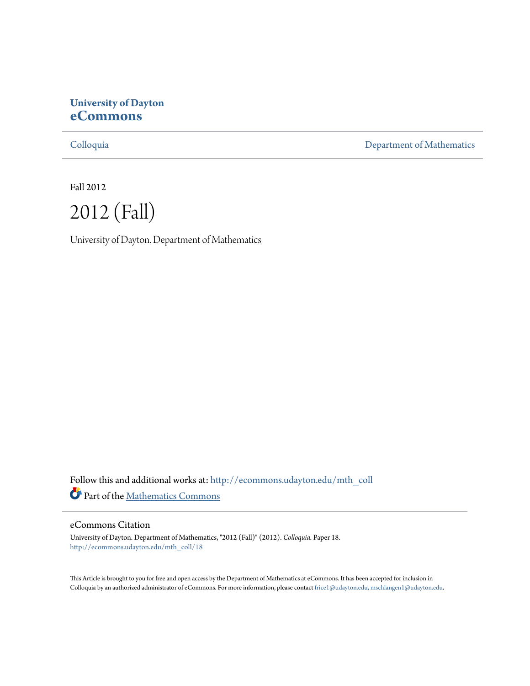# **University of Dayton [eCommons](http://ecommons.udayton.edu?utm_source=ecommons.udayton.edu%2Fmth_coll%2F18&utm_medium=PDF&utm_campaign=PDFCoverPages)**

[Colloquia](http://ecommons.udayton.edu/mth_coll?utm_source=ecommons.udayton.edu%2Fmth_coll%2F18&utm_medium=PDF&utm_campaign=PDFCoverPages) [Department of Mathematics](http://ecommons.udayton.edu/mth?utm_source=ecommons.udayton.edu%2Fmth_coll%2F18&utm_medium=PDF&utm_campaign=PDFCoverPages)

Fall 2012



University of Dayton. Department of Mathematics

Follow this and additional works at: [http://ecommons.udayton.edu/mth\\_coll](http://ecommons.udayton.edu/mth_coll?utm_source=ecommons.udayton.edu%2Fmth_coll%2F18&utm_medium=PDF&utm_campaign=PDFCoverPages) Part of the [Mathematics Commons](http://network.bepress.com/hgg/discipline/174?utm_source=ecommons.udayton.edu%2Fmth_coll%2F18&utm_medium=PDF&utm_campaign=PDFCoverPages)

#### eCommons Citation

University of Dayton. Department of Mathematics, "2012 (Fall)" (2012). *Colloquia.* Paper 18. [http://ecommons.udayton.edu/mth\\_coll/18](http://ecommons.udayton.edu/mth_coll/18?utm_source=ecommons.udayton.edu%2Fmth_coll%2F18&utm_medium=PDF&utm_campaign=PDFCoverPages)

This Article is brought to you for free and open access by the Department of Mathematics at eCommons. It has been accepted for inclusion in Colloquia by an authorized administrator of eCommons. For more information, please contact [frice1@udayton.edu, mschlangen1@udayton.edu.](mailto:frice1@udayton.edu,%20mschlangen1@udayton.edu)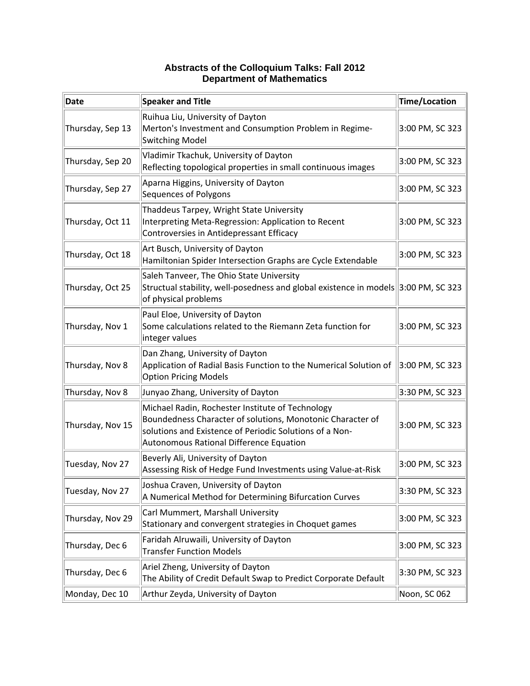| <b>Date</b>      | Speaker and Title                                                                                                                                                                                                    | Time/Location   |
|------------------|----------------------------------------------------------------------------------------------------------------------------------------------------------------------------------------------------------------------|-----------------|
| Thursday, Sep 13 | Ruihua Liu, University of Dayton<br>Merton's Investment and Consumption Problem in Regime-<br>Switching Model                                                                                                        | 3:00 PM, SC 323 |
| Thursday, Sep 20 | Vladimir Tkachuk, University of Dayton<br>Reflecting topological properties in small continuous images                                                                                                               | 3:00 PM, SC 323 |
| Thursday, Sep 27 | Aparna Higgins, University of Dayton<br>Sequences of Polygons                                                                                                                                                        | 3:00 PM, SC 323 |
| Thursday, Oct 11 | Thaddeus Tarpey, Wright State University<br>Interpreting Meta-Regression: Application to Recent<br>Controversies in Antidepressant Efficacy                                                                          | 3:00 PM, SC 323 |
| Thursday, Oct 18 | Art Busch, University of Dayton<br>Hamiltonian Spider Intersection Graphs are Cycle Extendable                                                                                                                       | 3:00 PM, SC 323 |
| Thursday, Oct 25 | Saleh Tanveer, The Ohio State University<br>Structual stability, well-posedness and global existence in models 3:00 PM, SC 323<br>of physical problems                                                               |                 |
| Thursday, Nov 1  | Paul Eloe, University of Dayton<br>Some calculations related to the Riemann Zeta function for<br>integer values                                                                                                      | 3:00 PM, SC 323 |
| Thursday, Nov 8  | Dan Zhang, University of Dayton<br>Application of Radial Basis Function to the Numerical Solution of<br><b>Option Pricing Models</b>                                                                                 | 3:00 PM, SC 323 |
| Thursday, Nov 8  | Junyao Zhang, University of Dayton                                                                                                                                                                                   | 3:30 PM, SC 323 |
| Thursday, Nov 15 | Michael Radin, Rochester Institute of Technology<br>Boundedness Character of solutions, Monotonic Character of<br>solutions and Existence of Periodic Solutions of a Non-<br>Autonomous Rational Difference Equation | 3:00 PM, SC 323 |
| Tuesday, Nov 27  | Beverly Ali, University of Dayton<br>Assessing Risk of Hedge Fund Investments using Value-at-Risk                                                                                                                    | 3:00 PM, SC 323 |
| Tuesday, Nov 27  | Joshua Craven, University of Dayton<br>A Numerical Method for Determining Bifurcation Curves                                                                                                                         | 3:30 PM, SC 323 |
| Thursday, Nov 29 | Carl Mummert, Marshall University<br>Stationary and convergent strategies in Choquet games                                                                                                                           | 3:00 PM, SC 323 |
| Thursday, Dec 6  | Faridah Alruwaili, University of Dayton<br><b>Transfer Function Models</b>                                                                                                                                           | 3:00 PM, SC 323 |
| Thursday, Dec 6  | Ariel Zheng, University of Dayton<br>The Ability of Credit Default Swap to Predict Corporate Default                                                                                                                 | 3:30 PM, SC 323 |
| Monday, Dec 10   | Arthur Zeyda, University of Dayton                                                                                                                                                                                   | Noon, SC 062    |

### **Abstracts of the Colloquium Talks: Fall 2012 Department of Mathematics**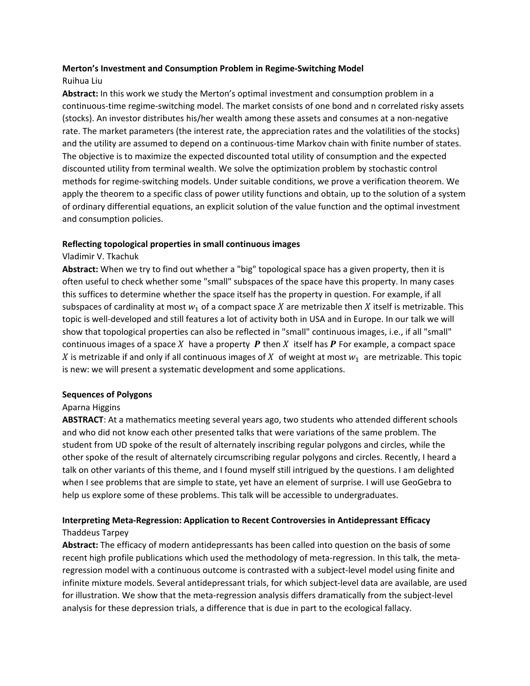### **Merton's Investment and Consumption Problem in Regime‐Switching Model**

# Ruihua Liu

**Abstract:** In this work we study the Merton's optimal investment and consumption problem in a continuous‐time regime‐switching model. The market consists of one bond and n correlated risky assets (stocks). An investor distributes his/her wealth among these assets and consumes at a non‐negative rate. The market parameters (the interest rate, the appreciation rates and the volatilities of the stocks) and the utility are assumed to depend on a continuous-time Markov chain with finite number of states. The objective is to maximize the expected discounted total utility of consumption and the expected discounted utility from terminal wealth. We solve the optimization problem by stochastic control methods for regime‐switching models. Under suitable conditions, we prove a verification theorem. We apply the theorem to a specific class of power utility functions and obtain, up to the solution of a system of ordinary differential equations, an explicit solution of the value function and the optimal investment and consumption policies.

### **Reflecting topological properties in small continuous images**

### Vladimir V. Tkachuk

**Abstract:** When we try to find out whether a "big" topological space has a given property, then it is often useful to check whether some "small" subspaces of the space have this property. In many cases this suffices to determine whether the space itself has the property in question. For example, if all subspaces of cardinality at most  $w_1$  of a compact space X are metrizable then X itself is metrizable. This topic is well-developed and still features a lot of activity both in USA and in Europe. In our talk we will show that topological properties can also be reflected in "small" continuous images, i.e., if all "small" continuous images of a space X have a property **P** then X itself has **P** For example, a compact space X is metrizable if and only if all continuous images of X of weight at most  $w_1$  are metrizable. This topic is new: we will present a systematic development and some applications.

### **Sequences of Polygons**

# Aparna Higgins

**ABSTRACT**: At a mathematics meeting several years ago, two students who attended different schools and who did not know each other presented talks that were variations of the same problem. The student from UD spoke of the result of alternately inscribing regular polygons and circles, while the other spoke of the result of alternately circumscribing regular polygons and circles. Recently, I heard a talk on other variants of this theme, and I found myself still intrigued by the questions. I am delighted when I see problems that are simple to state, yet have an element of surprise. I will use GeoGebra to help us explore some of these problems. This talk will be accessible to undergraduates.

# **Interpreting Meta‐Regression: Application to Recent Controversies in Antidepressant Efficacy**

### Thaddeus Tarpey

**Abstract:** The efficacy of modern antidepressants has been called into question on the basis of some recent high profile publications which used the methodology of meta‐regression. In this talk, the meta‐ regression model with a continuous outcome is contrasted with a subject‐level model using finite and infinite mixture models. Several antidepressant trials, for which subject‐level data are available, are used for illustration. We show that the meta-regression analysis differs dramatically from the subject-level analysis for these depression trials, a difference that is due in part to the ecological fallacy.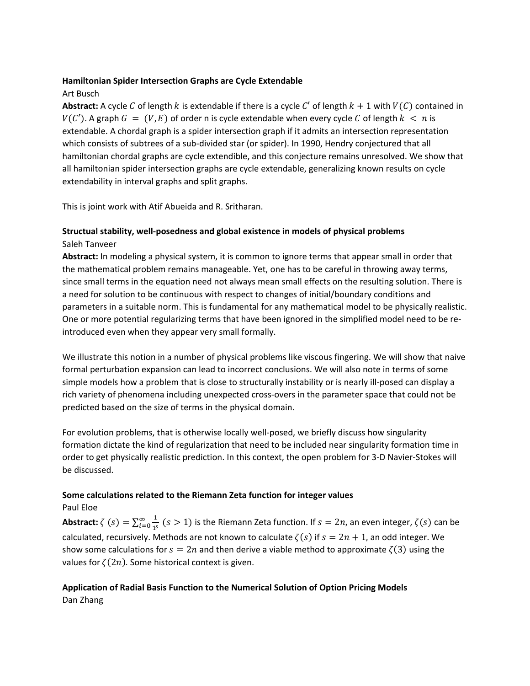### **Hamiltonian Spider Intersection Graphs are Cycle Extendable**

# Art Busch

**Abstract:** A cycle C of length k is extendable if there is a cycle C' of length  $k + 1$  with  $V(C)$  contained in  $V(C')$ . A graph  $G = (V, E)$  of order n is cycle extendable when every cycle C of length  $k < n$  is extendable. A chordal graph is a spider intersection graph if it admits an intersection representation which consists of subtrees of a sub-divided star (or spider). In 1990, Hendry conjectured that all hamiltonian chordal graphs are cycle extendible, and this conjecture remains unresolved. We show that all hamiltonian spider intersection graphs are cycle extendable, generalizing known results on cycle extendability in interval graphs and split graphs.

This is joint work with Atif Abueida and R. Sritharan.

# **Structual stability, well‐posedness and global existence in models of physical problems** Saleh Tanveer

**Abstract:** In modeling a physical system, it is common to ignore terms that appear small in order that the mathematical problem remains manageable. Yet, one has to be careful in throwing away terms, since small terms in the equation need not always mean small effects on the resulting solution. There is a need for solution to be continuous with respect to changes of initial/boundary conditions and parameters in a suitable norm. This is fundamental for any mathematical model to be physically realistic. One or more potential regularizing terms that have been ignored in the simplified model need to be re‐ introduced even when they appear very small formally.

We illustrate this notion in a number of physical problems like viscous fingering. We will show that naive formal perturbation expansion can lead to incorrect conclusions. We will also note in terms of some simple models how a problem that is close to structurally instability or is nearly ill-posed can display a rich variety of phenomena including unexpected cross‐overs in the parameter space that could not be predicted based on the size of terms in the physical domain.

For evolution problems, that is otherwise locally well-posed, we briefly discuss how singularity formation dictate the kind of regularization that need to be included near singularity formation time in order to get physically realistic prediction. In this context, the open problem for 3‐D Navier‐Stokes will be discussed.

# **Some calculations related to the Riemann Zeta function for integer values**

Paul Eloe

**Abstract:**  $\zeta$   $(s) = \sum_{i=0}^{\infty} \frac{1}{1^s}$  $\sum_{i=0}^{\infty} \frac{1}{1^{i}}$   $(s > 1)$  is the Riemann Zeta function. If  $s = 2n$ , an even integer,  $\zeta(s)$  can be calculated, recursively. Methods are not known to calculate  $\zeta(s)$  if  $s = 2n + 1$ , an odd integer. We show some calculations for  $s = 2n$  and then derive a viable method to approximate  $\zeta(3)$  using the values for  $\zeta(2n)$ . Some historical context is given.

# **Application of Radial Basis Function to the Numerical Solution of Option Pricing Models** Dan Zhang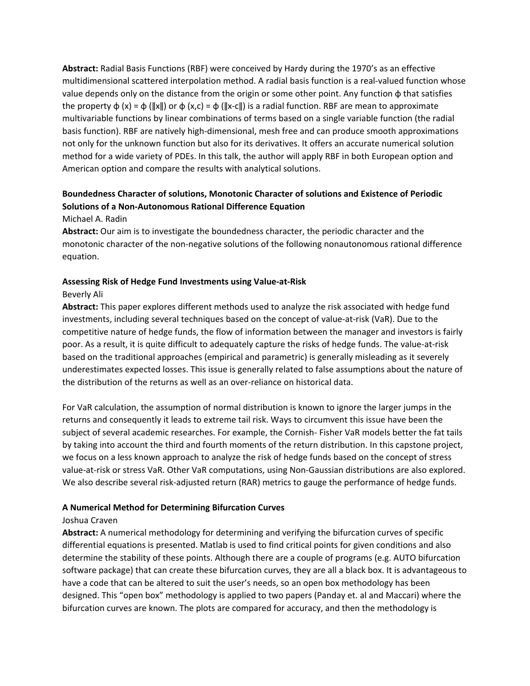**Abstract:** Radial Basis Functions (RBF) were conceived by Hardy during the 1970's as an effective multidimensional scattered interpolation method. A radial basis function is a real‐valued function whose value depends only on the distance from the origin or some other point. Any function  $\phi$  that satisfies the property  $\phi(x) = \phi(||x||)$  or  $\phi(x,c) = \phi(||x-c||)$  is a radial function. RBF are mean to approximate multivariable functions by linear combinations of terms based on a single variable function (the radial basis function). RBF are natively high‐dimensional, mesh free and can produce smooth approximations not only for the unknown function but also for its derivatives. It offers an accurate numerical solution method for a wide variety of PDEs. In this talk, the author will apply RBF in both European option and American option and compare the results with analytical solutions.

# **Boundedness Character of solutions, Monotonic Character of solutions and Existence of Periodic Solutions of a Non‐Autonomous Rational Difference Equation**

### Michael A. Radin

**Abstract:** Our aim is to investigate the boundedness character, the periodic character and the monotonic character of the non‐negative solutions of the following nonautonomous rational difference equation.

### **Assessing Risk of Hedge Fund Investments using Value‐at‐Risk**

### Beverly Ali

**Abstract:** This paper explores different methods used to analyze the risk associated with hedge fund investments, including several techniques based on the concept of value‐at‐risk (VaR). Due to the competitive nature of hedge funds, the flow of information between the manager and investors is fairly poor. As a result, it is quite difficult to adequately capture the risks of hedge funds. The value‐at‐risk based on the traditional approaches (empirical and parametric) is generally misleading as it severely underestimates expected losses. This issue is generally related to false assumptions about the nature of the distribution of the returns as well as an over‐reliance on historical data.

For VaR calculation, the assumption of normal distribution is known to ignore the larger jumps in the returns and consequently it leads to extreme tail risk. Ways to circumvent this issue have been the subject of several academic researches. For example, the Cornish-Fisher VaR models better the fat tails by taking into account the third and fourth moments of the return distribution. In this capstone project, we focus on a less known approach to analyze the risk of hedge funds based on the concept of stress value‐at‐risk or stress VaR. Other VaR computations, using Non‐Gaussian distributions are also explored. We also describe several risk-adjusted return (RAR) metrics to gauge the performance of hedge funds.

### **A Numerical Method for Determining Bifurcation Curves**

### Joshua Craven

**Abstract:** A numerical methodology for determining and verifying the bifurcation curves of specific differential equations is presented. Matlab is used to find critical points for given conditions and also determine the stability of these points. Although there are a couple of programs (e.g. AUTO bifurcation software package) that can create these bifurcation curves, they are all a black box. It is advantageous to have a code that can be altered to suit the user's needs, so an open box methodology has been designed. This "open box" methodology is applied to two papers (Panday et. al and Maccari) where the bifurcation curves are known. The plots are compared for accuracy, and then the methodology is